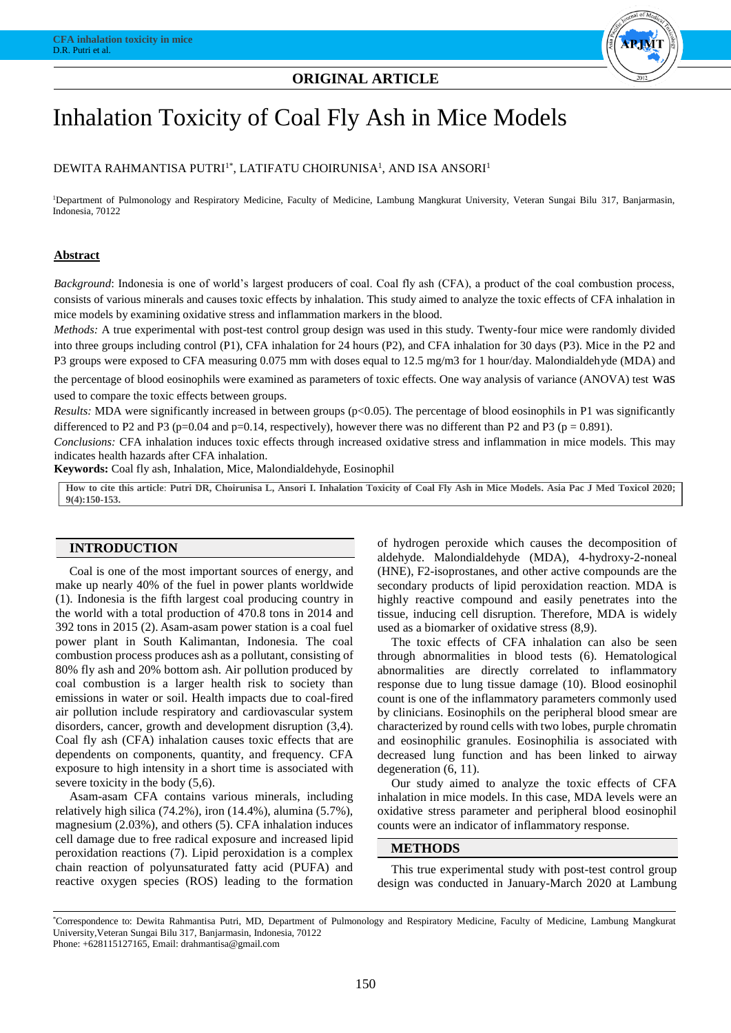

# DEWITA RAHMANTISA PUTRI<sup>1\*</sup>, LATIFATU CHOIRUNISA<sup>1</sup>, AND ISA ANSORI<sup>1</sup>

<sup>1</sup>Department of Pulmonology and Respiratory Medicine, Faculty of Medicine, Lambung Mangkurat University, Veteran Sungai Bilu 317, Banjarmasin, Indonesia, 70122

# **Abstract**

*Background*: Indonesia is one of world's largest producers of coal. Coal fly ash (CFA), a product of the coal combustion process, consists of various minerals and causes toxic effects by inhalation. This study aimed to analyze the toxic effects of CFA inhalation in mice models by examining oxidative stress and inflammation markers in the blood.

*Methods:* A true experimental with post-test control group design was used in this study. Twenty-four mice were randomly divided into three groups including control (P1), CFA inhalation for 24 hours (P2), and CFA inhalation for 30 days (P3). Mice in the P2 and P3 groups were exposed to CFA measuring 0.075 mm with doses equal to 12.5 mg/m3 for 1 hour/day. Malondialdehyde (MDA) and

the percentage of blood eosinophils were examined as parameters of toxic effects. One way analysis of variance (ANOVA) test was used to compare the toxic effects between groups.

*Results:* MDA were significantly increased in between groups (p<0.05). The percentage of blood eosinophils in P1 was significantly differenced to P2 and P3 (p=0.04 and p=0.14, respectively), however there was no different than P2 and P3 (p = 0.891).

*Conclusions:* CFA inhalation induces toxic effects through increased oxidative stress and inflammation in mice models. This may indicates health hazards after CFA inhalation.

**Keywords:** Coal fly ash, Inhalation, Mice, Malondialdehyde, Eosinophil

**How to cite this article**: **Putri DR, Choirunisa L, Ansori I. Inhalation Toxicity of Coal Fly Ash in Mice Models. Asia Pac J Med Toxicol 2020; 9(4):150-153.**

## **INTRODUCTION**

Coal is one of the most important sources of energy, and make up nearly 40% of the fuel in power plants worldwide (1). Indonesia is the fifth largest coal producing country in the world with a total production of 470.8 tons in 2014 and 392 tons in 2015 (2). Asam-asam power station is a coal fuel power plant in South Kalimantan, Indonesia. The coal combustion process produces ash as a pollutant, consisting of 80% fly ash and 20% bottom ash. Air pollution produced by coal combustion is a larger health risk to society than emissions in water or soil. Health impacts due to coal-fired air pollution include respiratory and cardiovascular system disorders, cancer, growth and development disruption (3,4). Coal fly ash (CFA) inhalation causes toxic effects that are dependents on components, quantity, and frequency. CFA exposure to high intensity in a short time is associated with severe toxicity in the body (5,6).

Asam-asam CFA contains various minerals, including relatively high silica (74.2%), iron (14.4%), alumina (5.7%), magnesium (2.03%), and others (5). CFA inhalation induces cell damage due to free radical exposure and increased lipid peroxidation reactions (7). Lipid peroxidation is a complex chain reaction of polyunsaturated fatty acid (PUFA) and reactive oxygen species (ROS) leading to the formation of hydrogen peroxide which causes the decomposition of aldehyde. Malondialdehyde (MDA), 4-hydroxy-2-noneal (HNE), F2-isoprostanes, and other active compounds are the secondary products of lipid peroxidation reaction. MDA is highly reactive compound and easily penetrates into the tissue, inducing cell disruption. Therefore, MDA is widely used as a biomarker of oxidative stress (8,9).

The toxic effects of CFA inhalation can also be seen through abnormalities in blood tests (6). Hematological abnormalities are directly correlated to inflammatory response due to lung tissue damage (10). Blood eosinophil count is one of the inflammatory parameters commonly used by clinicians. Eosinophils on the peripheral blood smear are characterized by round cells with two lobes, purple chromatin and eosinophilic granules. Eosinophilia is associated with decreased lung function and has been linked to airway degeneration (6, 11).

Our study aimed to analyze the toxic effects of CFA inhalation in mice models. In this case, MDA levels were an oxidative stress parameter and peripheral blood eosinophil counts were an indicator of inflammatory response.

#### **METHODS**

This true experimental study with post-test control group design was conducted in January-March 2020 at Lambung

\*Correspondence to: Dewita Rahmantisa Putri, MD, Department of Pulmonology and Respiratory Medicine, Faculty of Medicine, Lambung Mangkurat University,Veteran Sungai Bilu 317, Banjarmasin, Indonesia, 70122

Phone: +628115127165, Email: drahmantisa@gmail.com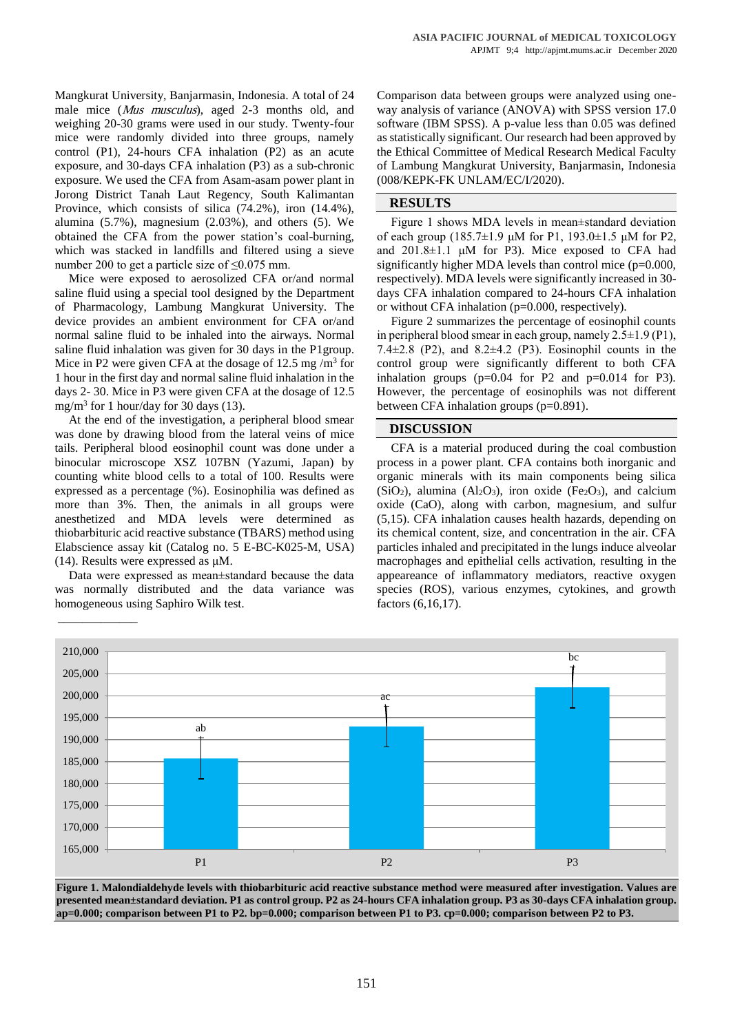Mangkurat University, Banjarmasin, Indonesia. A total of 24 male mice (*Mus musculus*), aged 2-3 months old, and weighing 20-30 grams were used in our study. Twenty-four mice were randomly divided into three groups, namely control (P1), 24-hours CFA inhalation (P2) as an acute exposure, and 30-days CFA inhalation (P3) as a sub-chronic exposure. We used the CFA from Asam-asam power plant in Jorong District Tanah Laut Regency, South Kalimantan Province, which consists of silica (74.2%), iron (14.4%), alumina (5.7%), magnesium (2.03%), and others (5). We obtained the CFA from the power station's coal-burning, which was stacked in landfills and filtered using a sieve number 200 to get a particle size of ≤0.075 mm.

Mice were exposed to aerosolized CFA or/and normal saline fluid using a special tool designed by the Department of Pharmacology, Lambung Mangkurat University. The device provides an ambient environment for CFA or/and normal saline fluid to be inhaled into the airways. Normal saline fluid inhalation was given for 30 days in the P1group. Mice in P2 were given CFA at the dosage of  $12.5 \text{ mg/m}^3$  for 1 hour in the first day and normal saline fluid inhalation in the days 2- 30. Mice in P3 were given CFA at the dosage of 12.5 mg/m<sup>3</sup> for 1 hour/day for 30 days (13).

At the end of the investigation, a peripheral blood smear was done by drawing blood from the lateral veins of mice tails. Peripheral blood eosinophil count was done under a binocular microscope XSZ 107BN (Yazumi, Japan) by counting white blood cells to a total of 100. Results were expressed as a percentage (%). Eosinophilia was defined as more than 3%. Then, the animals in all groups were anesthetized and MDA levels were determined as thiobarbituric acid reactive substance (TBARS) method using Elabscience assay kit (Catalog no. 5 E-BC-K025-M, USA) (14). Results were expressed as μM.

Data were expressed as mean±standard because the data was normally distributed and the data variance was homogeneous using Saphiro Wilk test.

\_\_\_\_\_\_\_\_\_\_\_\_\_

Comparison data between groups were analyzed using oneway analysis of variance (ANOVA) with SPSS version 17.0 software (IBM SPSS). A p-value less than 0.05 was defined as statistically significant. Our research had been approved by the Ethical Committee of Medical Research Medical Faculty of Lambung Mangkurat University, Banjarmasin, Indonesia (008/KEPK-FK UNLAM/EC/I/2020).

## **RESULTS**

Figure 1 shows MDA levels in mean±standard deviation of each group (185.7±1.9 μM for P1, 193.0±1.5 μM for P2, and  $201.8\pm1.1$  μM for P3). Mice exposed to CFA had significantly higher MDA levels than control mice  $(p=0.000,$ respectively). MDA levels were significantly increased in 30 days CFA inhalation compared to 24-hours CFA inhalation or without CFA inhalation (p=0.000, respectively).

Figure 2 summarizes the percentage of eosinophil counts in peripheral blood smear in each group, namely  $2.5\pm1.9$  (P1), 7.4 $\pm$ 2.8 (P2), and 8.2 $\pm$ 4.2 (P3). Eosinophil counts in the control group were significantly different to both CFA inhalation groups ( $p=0.04$  for P2 and  $p=0.014$  for P3). However, the percentage of eosinophils was not different between CFA inhalation groups (p=0.891).

## **DISCUSSION**

CFA is a material produced during the coal combustion process in a power plant. CFA contains both inorganic and organic minerals with its main components being silica  $(SiO<sub>2</sub>)$ , alumina  $(Al<sub>2</sub>O<sub>3</sub>)$ , iron oxide  $(Fe<sub>2</sub>O<sub>3</sub>)$ , and calcium oxide (CaO), along with carbon, magnesium, and sulfur (5,15). CFA inhalation causes health hazards, depending on its chemical content, size, and concentration in the air. CFA particles inhaled and precipitated in the lungs induce alveolar macrophages and epithelial cells activation, resulting in the appeareance of inflammatory mediators, reactive oxygen species (ROS), various enzymes, cytokines, and growth factors (6,16,17).



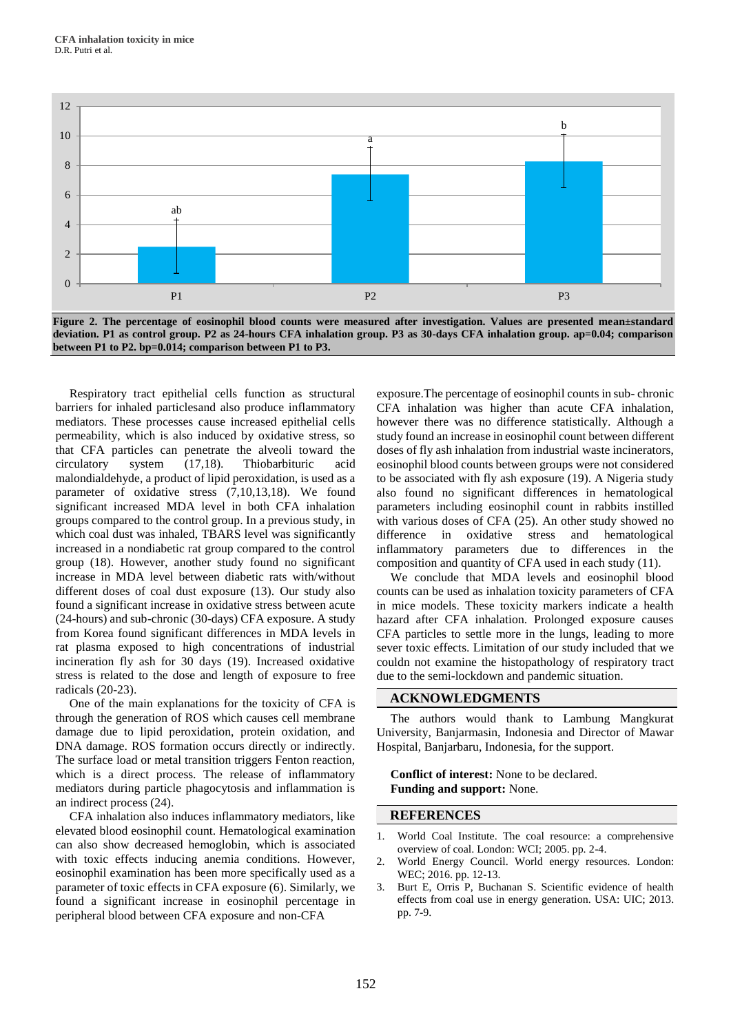



Respiratory tract epithelial cells function as structural barriers for inhaled particlesand also produce inflammatory mediators. These processes cause increased epithelial cells permeability, which is also induced by oxidative stress, so that CFA particles can penetrate the alveoli toward the circulatory system (17,18). Thiobarbituric acid malondialdehyde, a product of lipid peroxidation, is used as a parameter of oxidative stress (7,10,13,18). We found significant increased MDA level in both CFA inhalation groups compared to the control group. In a previous study, in which coal dust was inhaled, TBARS level was significantly increased in a nondiabetic rat group compared to the control group (18). However, another study found no significant increase in MDA level between diabetic rats with/without different doses of coal dust exposure (13). Our study also found a significant increase in oxidative stress between acute (24-hours) and sub-chronic (30-days) CFA exposure. A study from Korea found significant differences in MDA levels in rat plasma exposed to high concentrations of industrial incineration fly ash for 30 days (19). Increased oxidative stress is related to the dose and length of exposure to free radicals (20-23).

One of the main explanations for the toxicity of CFA is through the generation of ROS which causes cell membrane damage due to lipid peroxidation, protein oxidation, and DNA damage. ROS formation occurs directly or indirectly. The surface load or metal transition triggers Fenton reaction, which is a direct process. The release of inflammatory mediators during particle phagocytosis and inflammation is an indirect process (24).

CFA inhalation also induces inflammatory mediators, like elevated blood eosinophil count. Hematological examination can also show decreased hemoglobin, which is associated with toxic effects inducing anemia conditions. However, eosinophil examination has been more specifically used as a parameter of toxic effects in CFA exposure (6). Similarly, we found a significant increase in eosinophil percentage in peripheral blood between CFA exposure and non-CFA

exposure.The percentage of eosinophil counts in sub- chronic CFA inhalation was higher than acute CFA inhalation, however there was no difference statistically. Although a study found an increase in eosinophil count between different doses of fly ash inhalation from industrial waste incinerators, eosinophil blood counts between groups were not considered to be associated with fly ash exposure (19). A Nigeria study also found no significant differences in hematological parameters including eosinophil count in rabbits instilled with various doses of CFA (25). An other study showed no difference in oxidative stress and hematological inflammatory parameters due to differences in the composition and quantity of CFA used in each study (11).

We conclude that MDA levels and eosinophil blood counts can be used as inhalation toxicity parameters of CFA in mice models. These toxicity markers indicate a health hazard after CFA inhalation. Prolonged exposure causes CFA particles to settle more in the lungs, leading to more sever toxic effects. Limitation of our study included that we couldn not examine the histopathology of respiratory tract due to the semi-lockdown and pandemic situation.

#### **ACKNOWLEDGMENTS**

The authors would thank to Lambung Mangkurat University, Banjarmasin, Indonesia and Director of Mawar Hospital, Banjarbaru, Indonesia, for the support.

**Conflict of interest:** None to be declared. **Funding and support:** None.

#### **REFERENCES**

- 1. World Coal Institute. The coal resource: a comprehensive overview of coal. London: WCI; 2005. pp. 2-4.
- 2. World Energy Council. World energy resources. London: WEC; 2016. pp. 12-13.
- 3. Burt E, Orris P, Buchanan S. Scientific evidence of health effects from coal use in energy generation. USA: UIC; 2013. pp. 7-9.